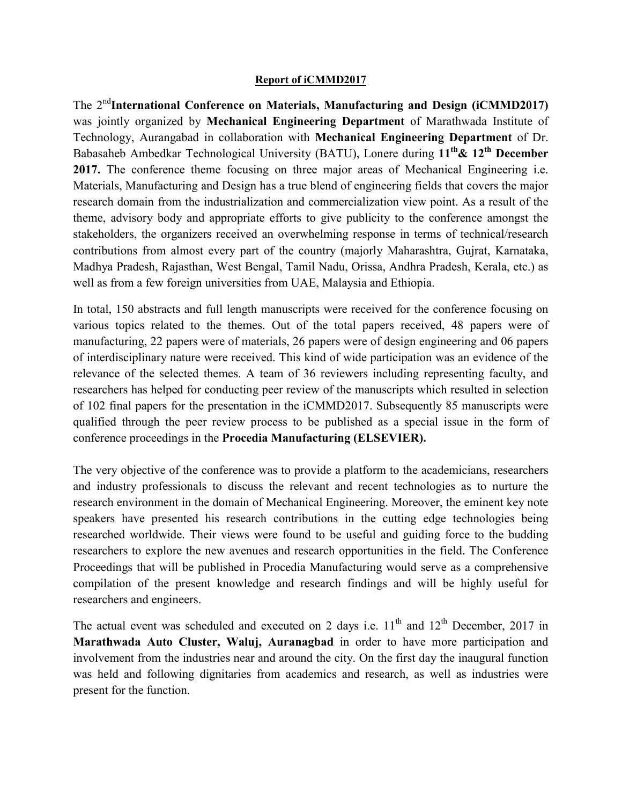## Report of iCMMD2017

The  $2<sup>nd</sup>$ International Conference on Materials, Manufacturing and Design (iCMMD2017) was jointly organized by Mechanical Engineering Department of Marathwada Institute of Technology, Aurangabad in collaboration with Mechanical Engineering Department of Dr. Babasaheb Ambedkar Technological University (BATU), Lonere during  $11^{th}$ &  $12^{th}$  December 2017. The conference theme focusing on three major areas of Mechanical Engineering i.e. Materials, Manufacturing and Design has a true blend of engineering fields that covers the major research domain from the industrialization and commercialization view point. As a result of the theme, advisory body and appropriate efforts to give publicity to the conference amongst the stakeholders, the organizers received an overwhelming response in terms of technical/research contributions from almost every part of the country (majorly Maharashtra, Gujrat, Karnataka, Madhya Pradesh, Rajasthan, West Bengal, Tamil Nadu, Orissa, Andhra Pradesh, Kerala, etc.) as well as from a few foreign universities from UAE, Malaysia and Ethiopia.

In total, 150 abstracts and full length manuscripts were received for the conference focusing on various topics related to the themes. Out of the total papers received, 48 papers were of manufacturing, 22 papers were of materials, 26 papers were of design engineering and 06 papers of interdisciplinary nature were received. This kind of wide participation was an evidence of the relevance of the selected themes. A team of 36 reviewers including representing faculty, and researchers has helped for conducting peer review of the manuscripts which resulted in selection of 102 final papers for the presentation in the iCMMD2017. Subsequently 85 manuscripts were qualified through the peer review process to be published as a special issue in the form of conference proceedings in the Procedia Manufacturing (ELSEVIER).

The very objective of the conference was to provide a platform to the academicians, researchers and industry professionals to discuss the relevant and recent technologies as to nurture the research environment in the domain of Mechanical Engineering. Moreover, the eminent key note speakers have presented his research contributions in the cutting edge technologies being researched worldwide. Their views were found to be useful and guiding force to the budding researchers to explore the new avenues and research opportunities in the field. The Conference Proceedings that will be published in Procedia Manufacturing would serve as a comprehensive compilation of the present knowledge and research findings and will be highly useful for researchers and engineers.

The actual event was scheduled and executed on 2 days i.e.  $11<sup>th</sup>$  and  $12<sup>th</sup>$  December, 2017 in Marathwada Auto Cluster, Waluj, Auranagbad in order to have more participation and involvement from the industries near and around the city. On the first day the inaugural function was held and following dignitaries from academics and research, as well as industries were present for the function.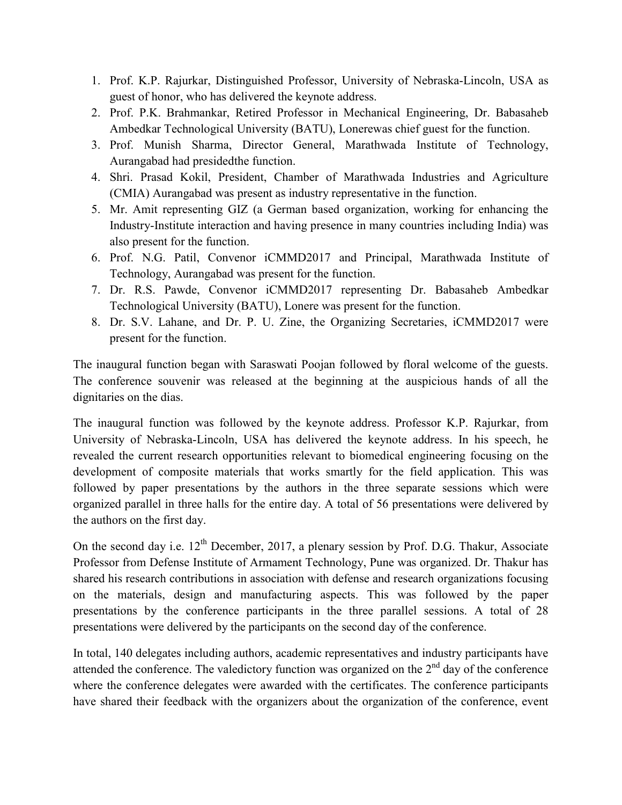- 1. Prof. K.P. Rajurkar, Distinguished Professor, University of Nebraska-Lincoln, USA as guest of honor, who has delivered the keynote address.
- 2. Prof. P.K. Brahmankar, Retired Professor in Mechanical Engineering, Dr. Babasaheb Ambedkar Technological University (BATU), Lonerewas chief guest for the function.
- 3. Prof. Munish Sharma, Director General, Marathwada Institute of Technology, Aurangabad had presidedthe function.
- 4. Shri. Prasad Kokil, President, Chamber of Marathwada Industries and Agriculture (CMIA) Aurangabad was present as industry representative in the function.
- 5. Mr. Amit representing GIZ (a German based organization, working for enhancing the Industry-Institute interaction and having presence in many countries including India) was also present for the function.
- 6. Prof. N.G. Patil, Convenor iCMMD2017 and Principal, Marathwada Institute of Technology, Aurangabad was present for the function.
- 7. Dr. R.S. Pawde, Convenor iCMMD2017 representing Dr. Babasaheb Ambedkar Technological University (BATU), Lonere was present for the function.
- 8. Dr. S.V. Lahane, and Dr. P. U. Zine, the Organizing Secretaries, iCMMD2017 were present for the function.

The inaugural function began with Saraswati Poojan followed by floral welcome of the guests. The conference souvenir was released at the beginning at the auspicious hands of all the dignitaries on the dias.

The inaugural function was followed by the keynote address. Professor K.P. Rajurkar, from University of Nebraska-Lincoln, USA has delivered the keynote address. In his speech, he revealed the current research opportunities relevant to biomedical engineering focusing on the development of composite materials that works smartly for the field application. This was followed by paper presentations by the authors in the three separate sessions which were organized parallel in three halls for the entire day. A total of 56 presentations were delivered by the authors on the first day.

On the second day i.e.  $12^{th}$  December, 2017, a plenary session by Prof. D.G. Thakur, Associate Professor from Defense Institute of Armament Technology, Pune was organized. Dr. Thakur has shared his research contributions in association with defense and research organizations focusing on the materials, design and manufacturing aspects. This was followed by the paper presentations by the conference participants in the three parallel sessions. A total of 28 presentations were delivered by the participants on the second day of the conference.

In total, 140 delegates including authors, academic representatives and industry participants have attended the conference. The valedictory function was organized on the  $2<sup>nd</sup>$  day of the conference where the conference delegates were awarded with the certificates. The conference participants have shared their feedback with the organizers about the organization of the conference, event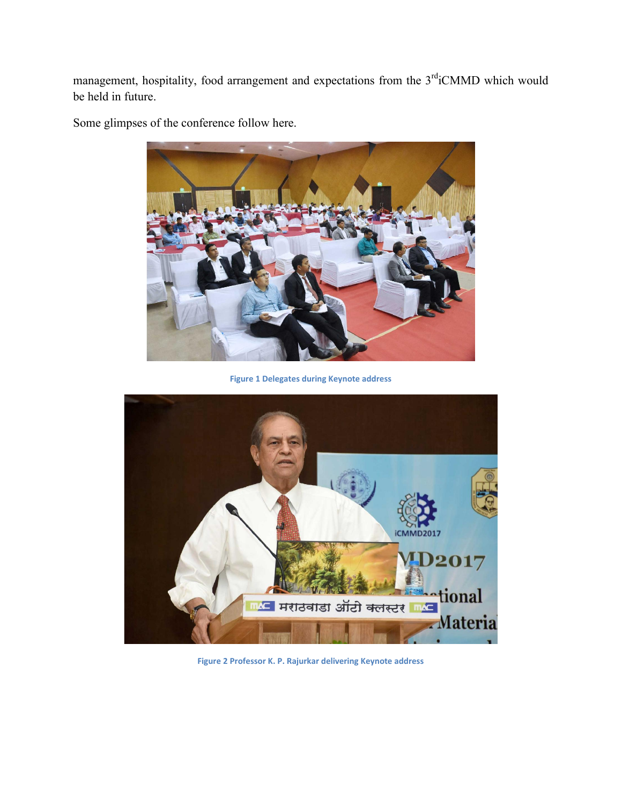management, hospitality, food arrangement and expectations from the 3<sup>rd</sup>iCMMD which would be held in future.



Some glimpses of the conference follow here.

Figure 1 Delegates during Keynote address



Figure 2 Professor K. P. Rajurkar delivering Keynote address